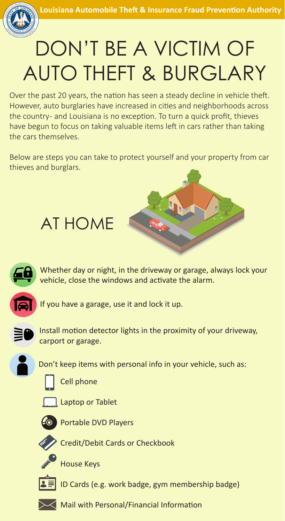



## DON'T BE A VICTIM OF AUTO THEFT & BURGLARY

Over the past 20 years, the nation has seen a steady decline in vehicle theft. However, auto burglaries have increased in cities and neighborhoods across the country- and Louisiana is no exception. To turn a quick profit, thieves have begun to focus on taking valuable items left in cars rather than taking the cars themselves.

Below are steps you can take to protect yourself and your property from car thieves and burglars.



Whether day or night, in the driveway or garage, always lock your vehicle, close the windows and activate the alarm.



If you have a garage, use it and lock it up.



Install motion detector lights in the proximity of your driveway, carport or garage.

Don't keep items with personal info in your vehicle, such as:



Cell phone

AT HOME



**Laptop or Tablet** 



Portable DVD Players



Credit/Debit Cards or Checkbook



House Keys



ID Cards (e.g. work badge, gym membership badge)



Mail with Personal/Financial Information